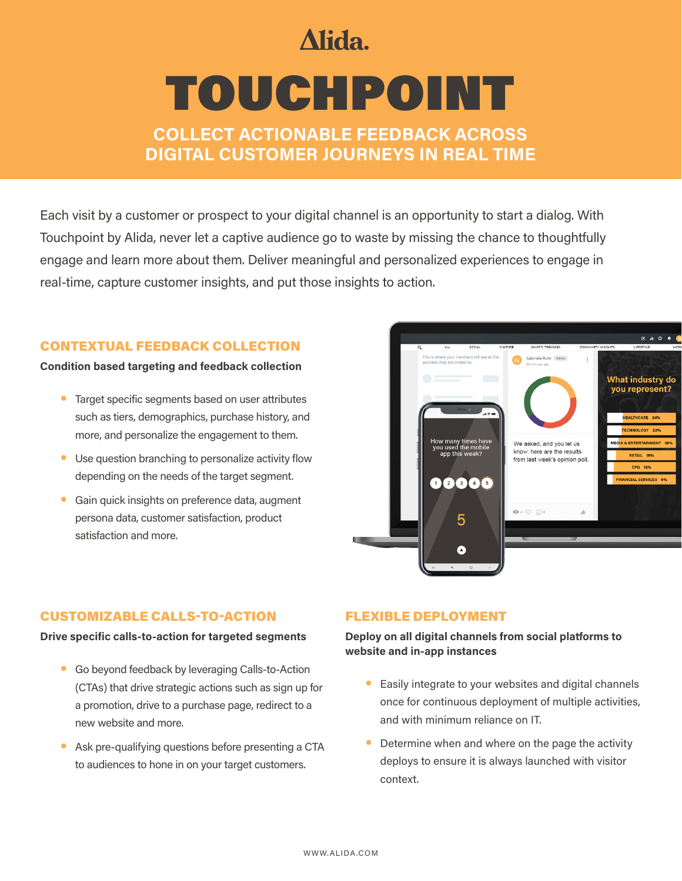## Alida.

# TOUCHPOINT

COLLECT ACTIONABLE FEEDBACK ACROSS DIGITAL CUSTOMER JOURNEYS IN REAL TIME

Each visit by a customer or prospect to your digital channel is an opportunity to start a dialog. With Touchpoint by Alida, never let a captive audience go to waste by missing the chance to thoughtfully engage and learn more about them. Deliver meaningful and personalized experiences to engage in real-time, capture customer insights, and put those insights to action.

#### CONTEXTUAL FEEDBACK COLLECTION

#### Condition based targeting and feedback collection

- Target specific segments based on user attributes such as tiers, demographics, purchase history, and more, and personalize the engagement to them.
- Use question branching to personalize activity flow depending on the needs of the target segment.
- Gain quick insights on preference data, augment persona data, customer satisfaction, product satisfaction and more.



#### CUSTOMIZABLE CALLS-TO-ACTION

#### Drive specific calls-to-action for targeted segments

- Go beyond feedback by leveraging Calls-to-Action (CTAs) that drive strategic actions such as sign up for a promotion, drive to a purchase page, redirect to a new website and more.
- Ask pre-qualifying questions before presenting a CTA to audiences to hone in on your target customers.

#### FLEXIBLE DEPLOYMENT

Deploy on all digital channels from social platforms to website and in-app instances

- Easily integrate to your websites and digital channels once for continuous deployment of multiple activities, and with minimum reliance on IT.
- Determine when and where on the page the activity deploys to ensure it is always launched with visitor context.